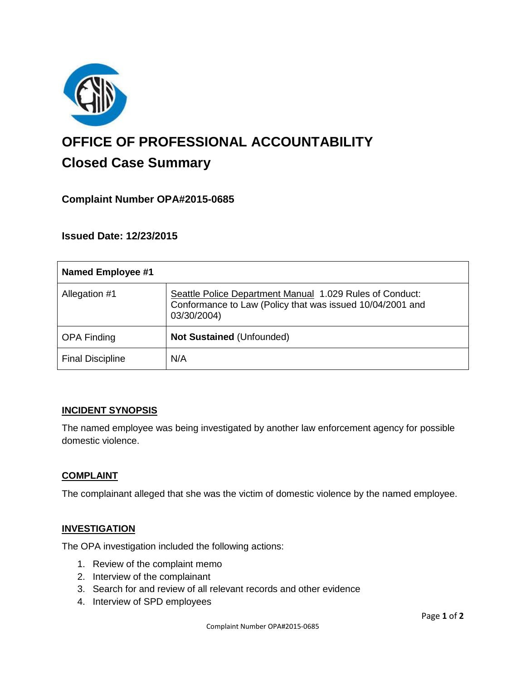

# **OFFICE OF PROFESSIONAL ACCOUNTABILITY Closed Case Summary**

## **Complaint Number OPA#2015-0685**

**Issued Date: 12/23/2015**

| <b>Named Employee #1</b> |                                                                                                                                      |
|--------------------------|--------------------------------------------------------------------------------------------------------------------------------------|
| Allegation #1            | Seattle Police Department Manual 1.029 Rules of Conduct:<br>Conformance to Law (Policy that was issued 10/04/2001 and<br>03/30/2004) |
| <b>OPA Finding</b>       | <b>Not Sustained (Unfounded)</b>                                                                                                     |
| <b>Final Discipline</b>  | N/A                                                                                                                                  |

#### **INCIDENT SYNOPSIS**

The named employee was being investigated by another law enforcement agency for possible domestic violence.

#### **COMPLAINT**

The complainant alleged that she was the victim of domestic violence by the named employee.

#### **INVESTIGATION**

The OPA investigation included the following actions:

- 1. Review of the complaint memo
- 2. Interview of the complainant
- 3. Search for and review of all relevant records and other evidence
- 4. Interview of SPD employees